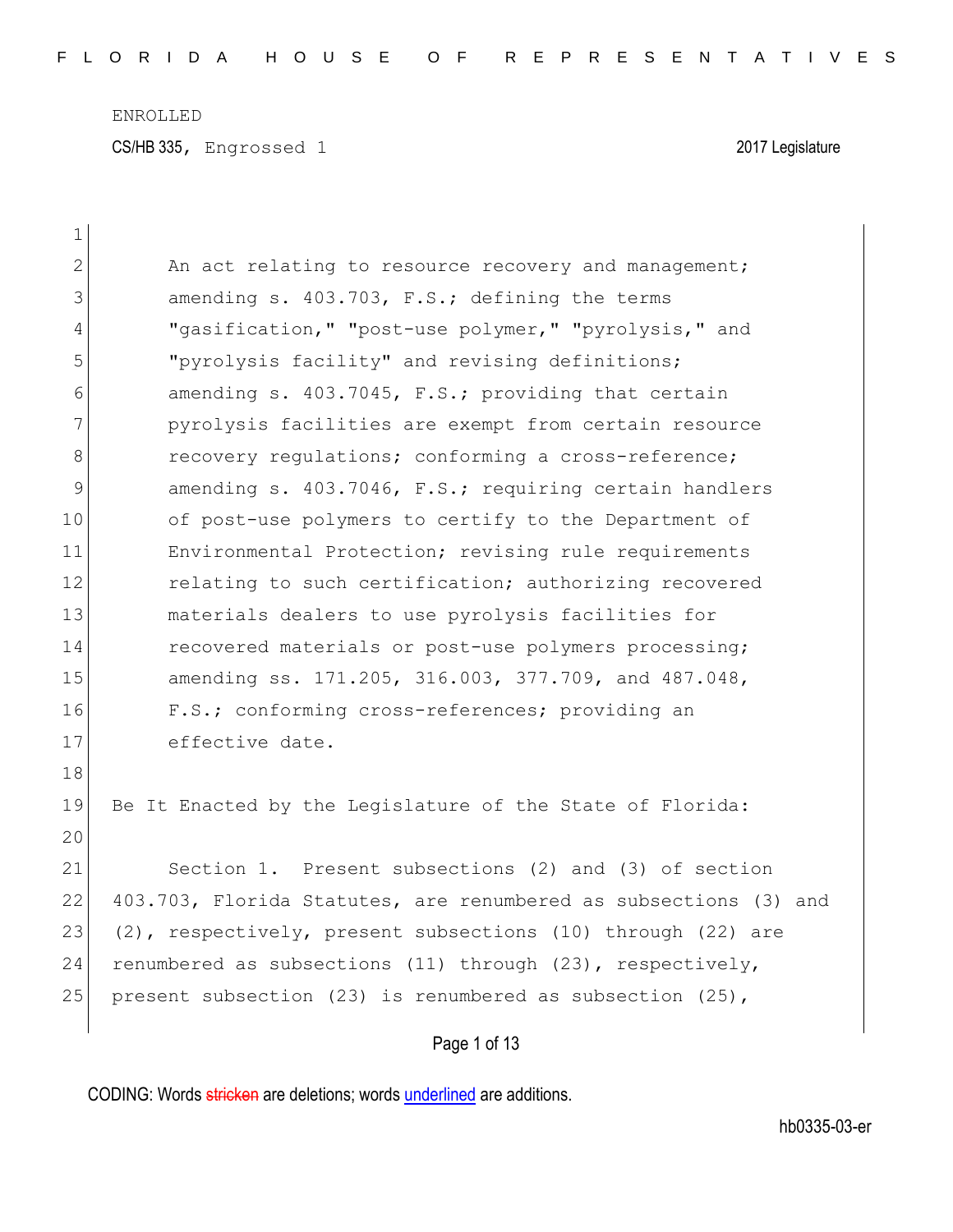CS/HB 335, Engrossed 1 2017 Legislature

| $\mathbf 1$  |                                                                  |
|--------------|------------------------------------------------------------------|
| $\mathbf{2}$ | An act relating to resource recovery and management;             |
| 3            | amending s. 403.703, F.S.; defining the terms                    |
| 4            | "gasification," "post-use polymer," "pyrolysis," and             |
| 5            | "pyrolysis facility" and revising definitions;                   |
| 6            | amending s. 403.7045, F.S.; providing that certain               |
| 7            | pyrolysis facilities are exempt from certain resource            |
| 8            | recovery regulations; conforming a cross-reference;              |
| 9            | amending s. 403.7046, F.S.; requiring certain handlers           |
| 10           | of post-use polymers to certify to the Department of             |
| 11           | Environmental Protection; revising rule requirements             |
| 12           | relating to such certification; authorizing recovered            |
| 13           | materials dealers to use pyrolysis facilities for                |
| 14           | recovered materials or post-use polymers processing;             |
| 15           | amending ss. 171.205, 316.003, 377.709, and 487.048,             |
| 16           | F.S.; conforming cross-references; providing an                  |
| 17           | effective date.                                                  |
| 18           |                                                                  |
| 19           | Be It Enacted by the Legislature of the State of Florida:        |
| 20           |                                                                  |
| 21           | Section 1. Present subsections (2) and (3) of section            |
| 22           | 403.703, Florida Statutes, are renumbered as subsections (3) and |
| 23           | (2), respectively, present subsections (10) through (22) are     |
| 24           | renumbered as subsections (11) through (23), respectively,       |
| 25           | present subsection (23) is renumbered as subsection $(25)$ ,     |
|              | Page 1 of 13                                                     |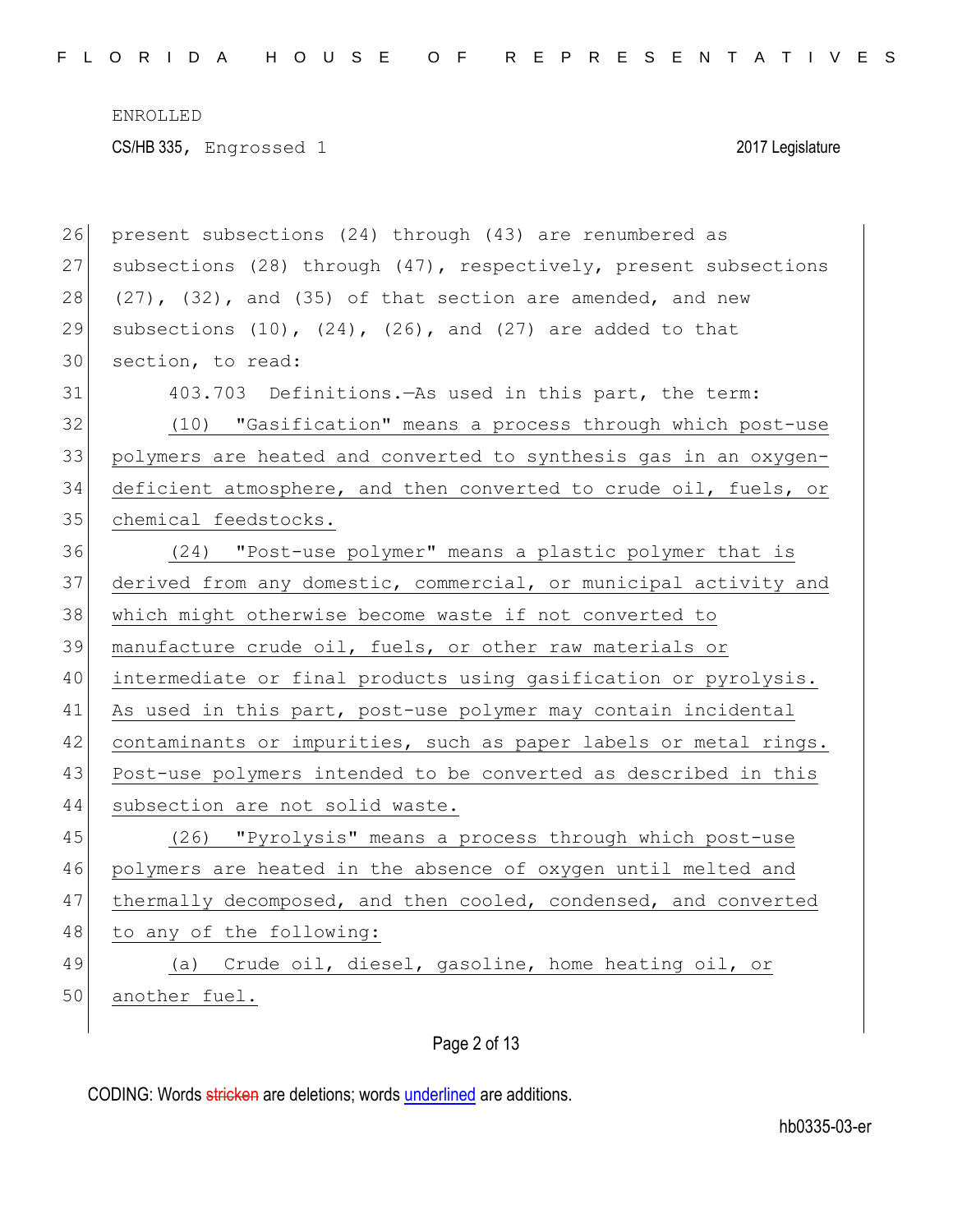| 26 | present subsections (24) through (43) are renumbered as             |
|----|---------------------------------------------------------------------|
| 27 | subsections (28) through (47), respectively, present subsections    |
| 28 | $(27)$ , $(32)$ , and $(35)$ of that section are amended, and new   |
| 29 | subsections $(10)$ , $(24)$ , $(26)$ , and $(27)$ are added to that |
| 30 | section, to read:                                                   |
| 31 | 403.703 Definitions. - As used in this part, the term:              |
| 32 | (10) "Gasification" means a process through which post-use          |
| 33 | polymers are heated and converted to synthesis gas in an oxygen-    |
| 34 | deficient atmosphere, and then converted to crude oil, fuels, or    |
| 35 | chemical feedstocks.                                                |
| 36 | (24) "Post-use polymer" means a plastic polymer that is             |
| 37 | derived from any domestic, commercial, or municipal activity and    |
| 38 | which might otherwise become waste if not converted to              |
| 39 | manufacture crude oil, fuels, or other raw materials or             |
| 40 | intermediate or final products using gasification or pyrolysis.     |
| 41 | As used in this part, post-use polymer may contain incidental       |
| 42 | contaminants or impurities, such as paper labels or metal rings.    |
| 43 | Post-use polymers intended to be converted as described in this     |
| 44 | subsection are not solid waste.                                     |
| 45 | (26) "Pyrolysis" means a process through which post-use             |
| 46 | polymers are heated in the absence of oxygen until melted and       |
| 47 | thermally decomposed, and then cooled, condensed, and converted     |
| 48 | to any of the following:                                            |
| 49 | (a) Crude oil, diesel, gasoline, home heating oil, or               |
| 50 | another fuel.                                                       |
|    |                                                                     |

Page 2 of 13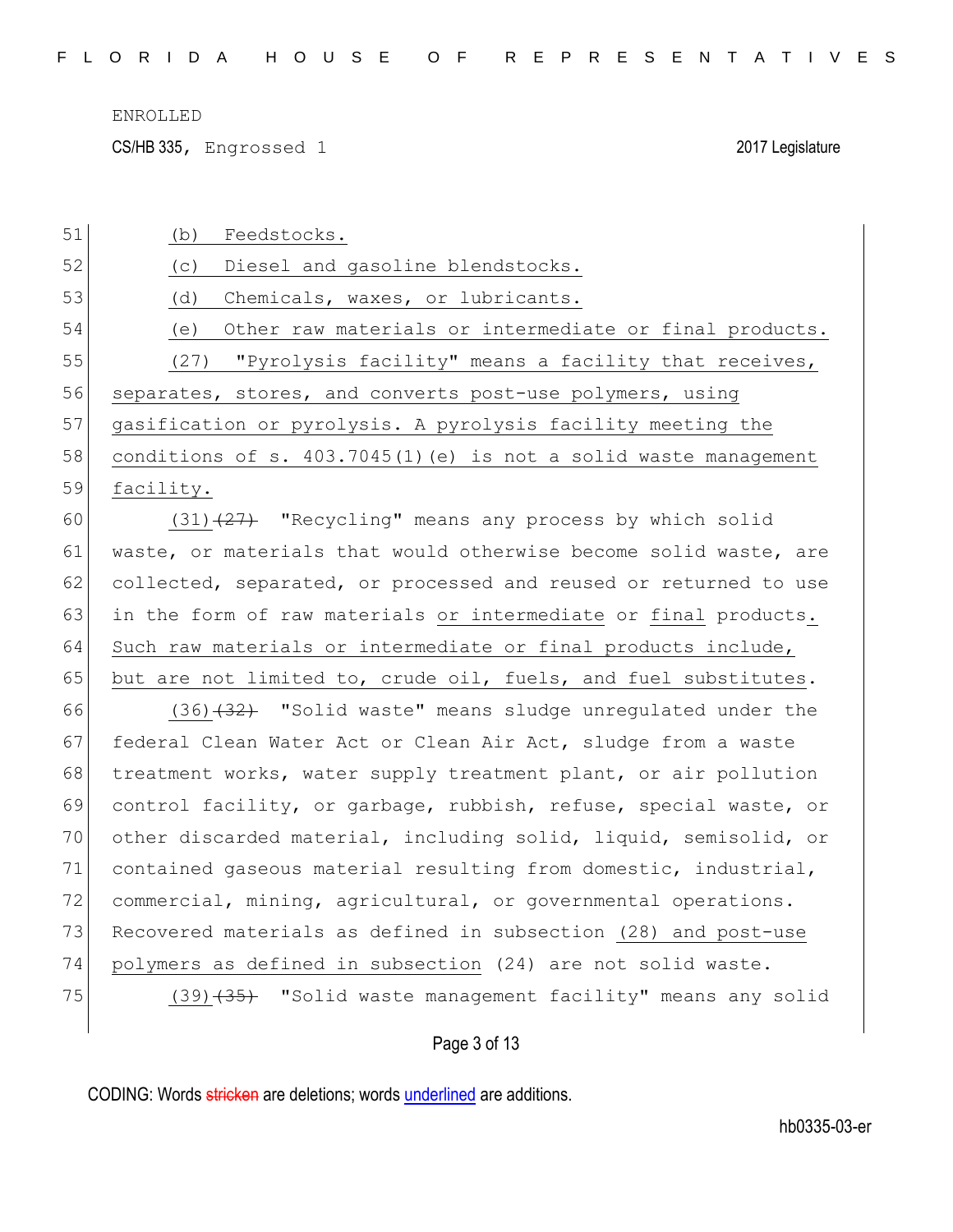CS/HB 335, Engrossed 1 2017 Legislature

| 51 | Feedstocks.<br>(b)                                               |
|----|------------------------------------------------------------------|
| 52 | Diesel and gasoline blendstocks.<br>(C)                          |
| 53 | Chemicals, waxes, or lubricants.<br>(d)                          |
| 54 | Other raw materials or intermediate or final products.<br>(e)    |
| 55 | (27) "Pyrolysis facility" means a facility that receives,        |
| 56 | separates, stores, and converts post-use polymers, using         |
| 57 | gasification or pyrolysis. A pyrolysis facility meeting the      |
| 58 | conditions of s. 403.7045(1) (e) is not a solid waste management |
| 59 | facility.                                                        |
| 60 | $(31)$ $(27)$ "Recycling" means any process by which solid       |
| 61 | waste, or materials that would otherwise become solid waste, are |
| 62 | collected, separated, or processed and reused or returned to use |
| 63 | in the form of raw materials or intermediate or final products.  |
| 64 | Such raw materials or intermediate or final products include,    |
| 65 | but are not limited to, crude oil, fuels, and fuel substitutes.  |
| 66 | $(36)$ $(32)$ "Solid waste" means sludge unregulated under the   |
| 67 | federal Clean Water Act or Clean Air Act, sludge from a waste    |
| 68 | treatment works, water supply treatment plant, or air pollution  |
| 69 | control facility, or garbage, rubbish, refuse, special waste, or |
| 70 | other discarded material, including solid, liquid, semisolid, or |
| 71 | contained gaseous material resulting from domestic, industrial,  |
| 72 | commercial, mining, agricultural, or governmental operations.    |
| 73 | Recovered materials as defined in subsection (28) and post-use   |
| 74 | polymers as defined in subsection (24) are not solid waste.      |
| 75 | (39) (35) "Solid waste management facility" means any solid      |
|    | Page 3 of 13                                                     |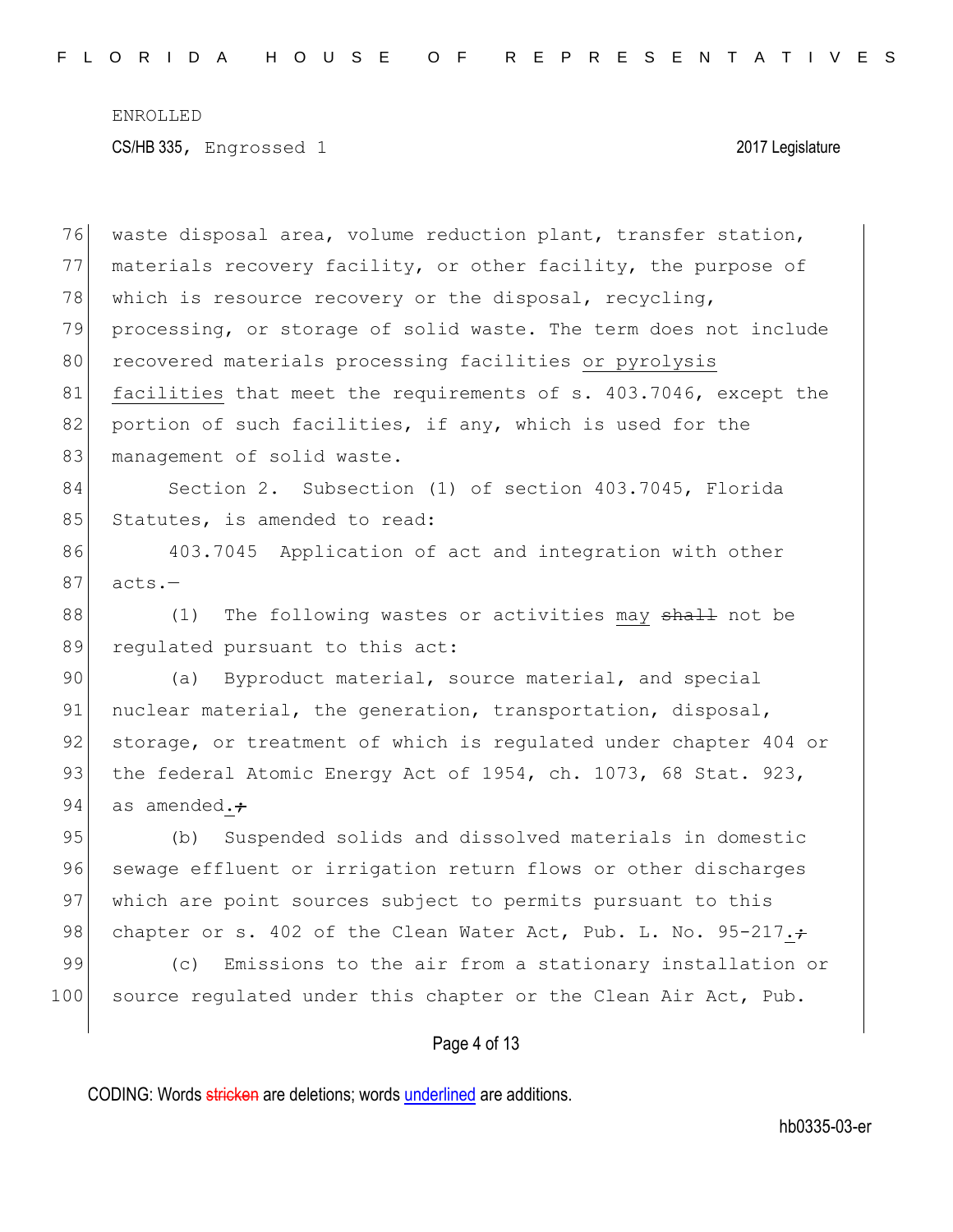76 waste disposal area, volume reduction plant, transfer station, 77 materials recovery facility, or other facility, the purpose of 78 which is resource recovery or the disposal, recycling, 79 processing, or storage of solid waste. The term does not include 80 recovered materials processing facilities or pyrolysis 81 facilities that meet the requirements of s. 403.7046, except the 82 portion of such facilities, if any, which is used for the 83 management of solid waste. 84 Section 2. Subsection (1) of section 403.7045, Florida 85 Statutes, is amended to read: 86 403.7045 Application of act and integration with other  $87$  acts.-88 (1) The following wastes or activities may shall not be 89 regulated pursuant to this act: 90 (a) Byproduct material, source material, and special 91 nuclear material, the generation, transportation, disposal, 92 storage, or treatment of which is regulated under chapter 404 or 93 the federal Atomic Energy Act of 1954, ch. 1073, 68 Stat. 923, 94 as amended. $\div$ 95 (b) Suspended solids and dissolved materials in domestic 96 sewage effluent or irrigation return flows or other discharges 97 which are point sources subject to permits pursuant to this 98 chapter or s. 402 of the Clean Water Act, Pub. L. No. 95-217. $\div$ 99 (c) Emissions to the air from a stationary installation or 100 source regulated under this chapter or the Clean Air Act, Pub.

Page 4 of 13

CODING: Words stricken are deletions; words underlined are additions.

hb0335-03-er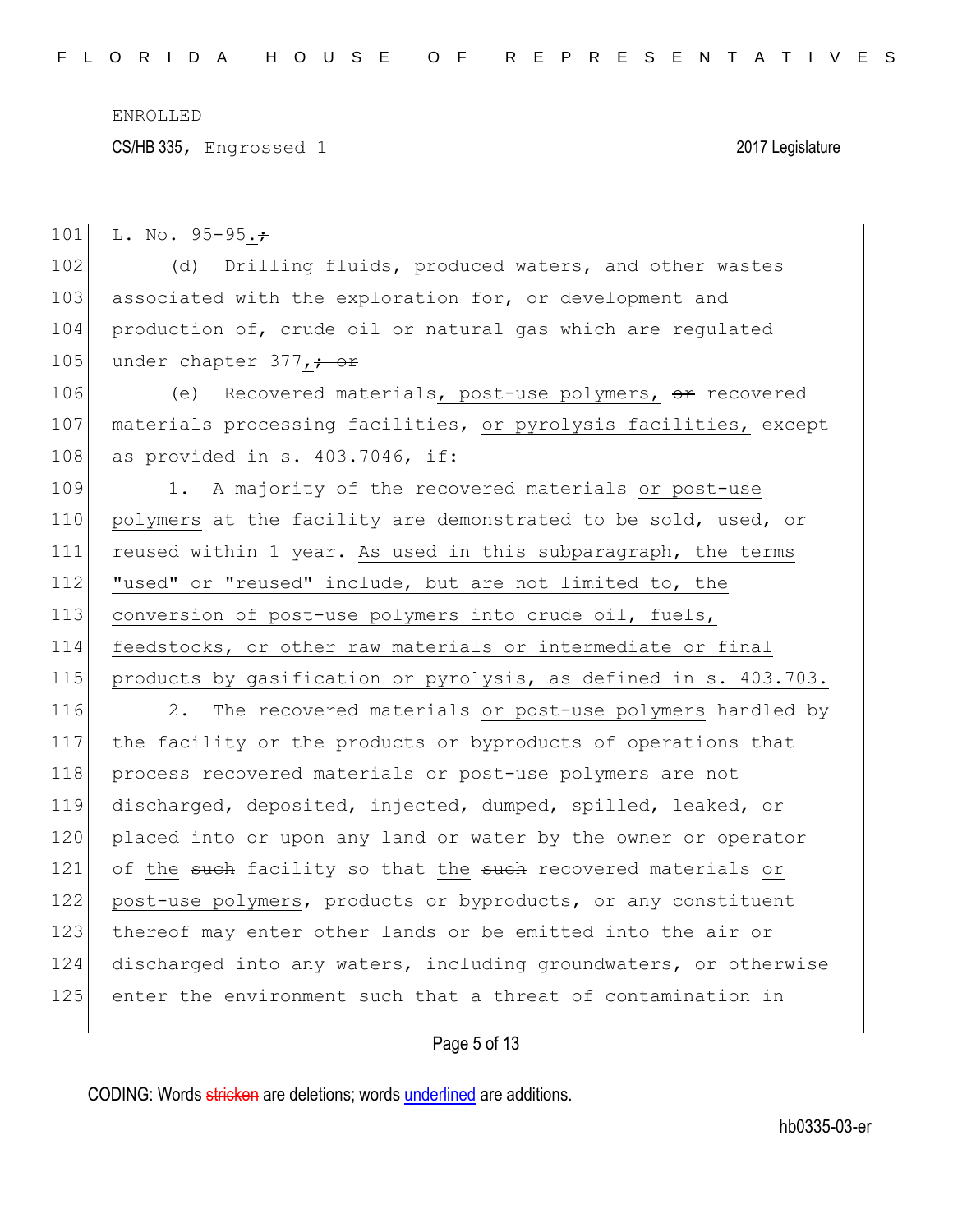CS/HB 335, Engrossed 1 2017 Legislature

101 L. No.  $95-95.7$ 

102 (d) Drilling fluids, produced waters, and other wastes 103 associated with the exploration for, or development and 104 production of, crude oil or natural gas which are regulated 105 under chapter  $377, +$  or

106 (e) Recovered materials, post-use polymers, or recovered 107 materials processing facilities, or pyrolysis facilities, except 108 as provided in s. 403.7046, if:

109 1. A majority of the recovered materials or post-use 110 polymers at the facility are demonstrated to be sold, used, or 111 reused within 1 year. As used in this subparagraph, the terms 112 "used" or "reused" include, but are not limited to, the 113 conversion of post-use polymers into crude oil, fuels, 114 feedstocks, or other raw materials or intermediate or final 115 products by gasification or pyrolysis, as defined in s. 403.703.

116 2. The recovered materials or post-use polymers handled by 117 the facility or the products or byproducts of operations that 118 process recovered materials or post-use polymers are not 119 discharged, deposited, injected, dumped, spilled, leaked, or 120 placed into or upon any land or water by the owner or operator 121 of the such facility so that the such recovered materials or 122 post-use polymers, products or byproducts, or any constituent 123 thereof may enter other lands or be emitted into the air or 124 discharged into any waters, including groundwaters, or otherwise 125 enter the environment such that a threat of contamination in

Page 5 of 13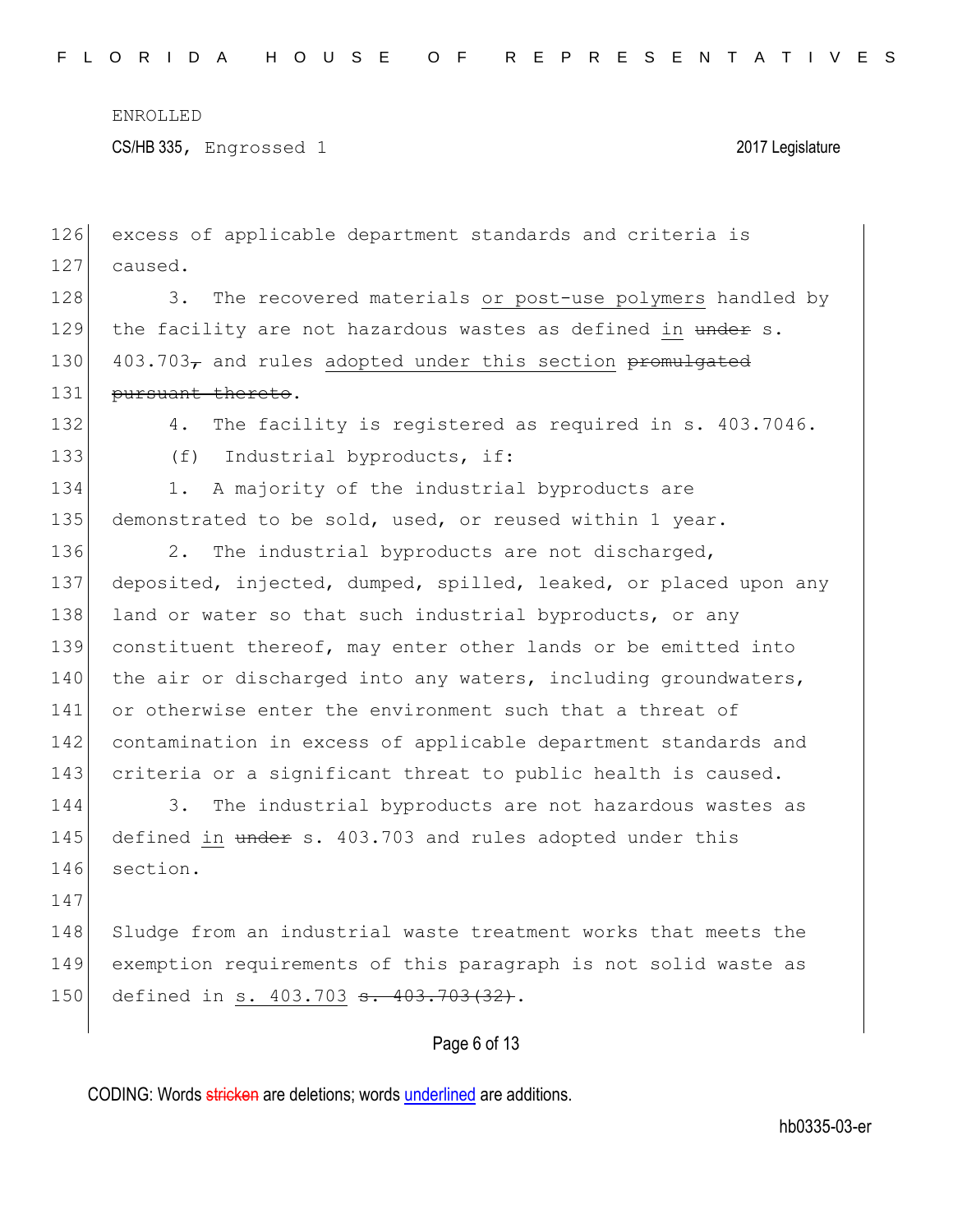CS/HB 335, Engrossed 1 2017 Legislature

| 126 | excess of applicable department standards and criteria is        |
|-----|------------------------------------------------------------------|
| 127 | caused.                                                          |
| 128 | 3.<br>The recovered materials or post-use polymers handled by    |
| 129 | the facility are not hazardous wastes as defined in under s.     |
| 130 | 403.703, and rules adopted under this section promulgated        |
| 131 | pursuant thereto.                                                |
| 132 | 4.<br>The facility is registered as required in s. 403.7046.     |
| 133 | Industrial byproducts, if:<br>(f)                                |
| 134 | A majority of the industrial byproducts are<br>1.                |
| 135 | demonstrated to be sold, used, or reused within 1 year.          |
| 136 | 2.<br>The industrial byproducts are not discharged,              |
| 137 | deposited, injected, dumped, spilled, leaked, or placed upon any |
| 138 | land or water so that such industrial byproducts, or any         |
| 139 | constituent thereof, may enter other lands or be emitted into    |
| 140 | the air or discharged into any waters, including groundwaters,   |
| 141 | or otherwise enter the environment such that a threat of         |
| 142 | contamination in excess of applicable department standards and   |
| 143 | criteria or a significant threat to public health is caused.     |
| 144 | 3.<br>The industrial byproducts are not hazardous wastes as      |
| 145 | defined in under s. 403.703 and rules adopted under this         |
| 146 | section.                                                         |
| 147 |                                                                  |
| 148 | Sludge from an industrial waste treatment works that meets the   |
| 149 | exemption requirements of this paragraph is not solid waste as   |
| 150 | defined in s. 403.703 s. 403.703(32).                            |
|     |                                                                  |

Page 6 of 13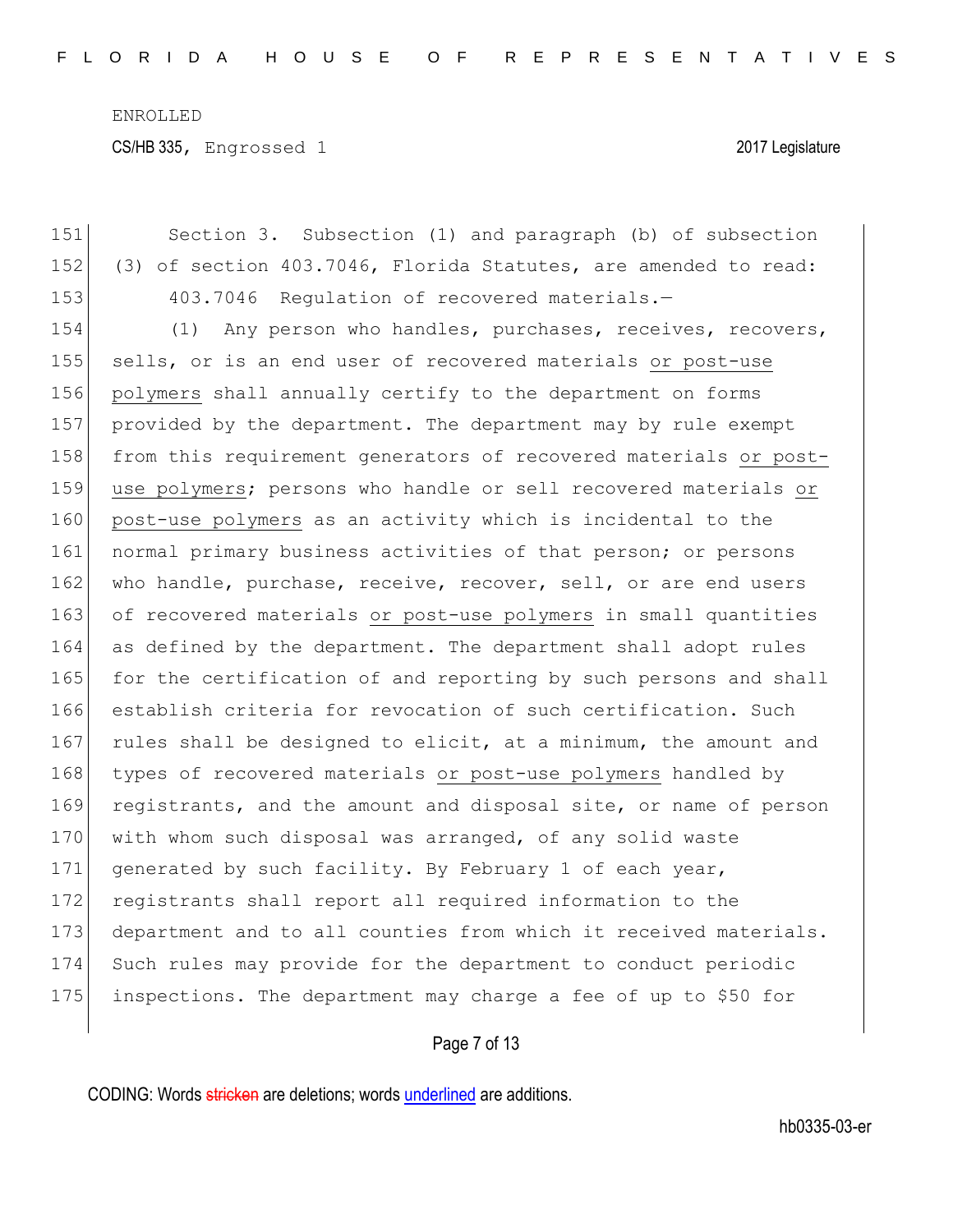CS/HB 335, Engrossed 1 2017 Legislature

151 Section 3. Subsection (1) and paragraph (b) of subsection 152 (3) of section 403.7046, Florida Statutes, are amended to read: 153 403.7046 Regulation of recovered materials.-154 (1) Any person who handles, purchases, receives, recovers, 155 sells, or is an end user of recovered materials or post-use 156 polymers shall annually certify to the department on forms 157 provided by the department. The department may by rule exempt 158 from this requirement generators of recovered materials or post-159 use polymers; persons who handle or sell recovered materials or 160 post-use polymers as an activity which is incidental to the 161 normal primary business activities of that person; or persons 162 who handle, purchase, receive, recover, sell, or are end users 163 of recovered materials or post-use polymers in small quantities 164 as defined by the department. The department shall adopt rules 165 for the certification of and reporting by such persons and shall 166 establish criteria for revocation of such certification. Such 167 rules shall be designed to elicit, at a minimum, the amount and 168 types of recovered materials or post-use polymers handled by 169 registrants, and the amount and disposal site, or name of person 170 with whom such disposal was arranged, of any solid waste 171 generated by such facility. By February 1 of each year, 172 registrants shall report all required information to the 173 department and to all counties from which it received materials. 174 Such rules may provide for the department to conduct periodic 175 inspections. The department may charge a fee of up to \$50 for

## Page 7 of 13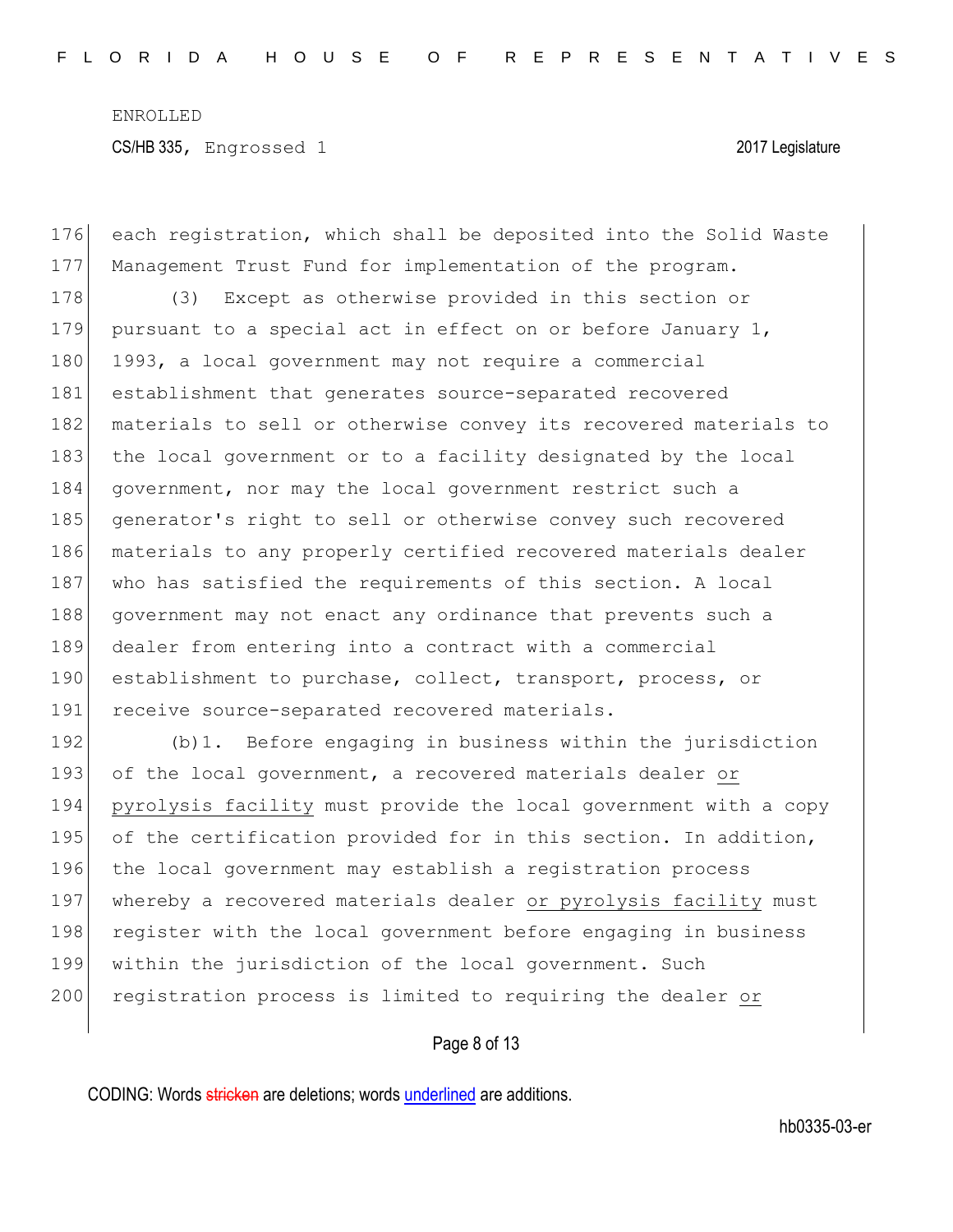176 each registration, which shall be deposited into the Solid Waste 177 Management Trust Fund for implementation of the program. 178 (3) Except as otherwise provided in this section or 179 pursuant to a special act in effect on or before January  $1$ , 180 1993, a local government may not require a commercial 181 establishment that generates source-separated recovered 182 materials to sell or otherwise convey its recovered materials to 183 the local government or to a facility designated by the local 184 government, nor may the local government restrict such a 185 generator's right to sell or otherwise convey such recovered 186 materials to any properly certified recovered materials dealer 187 who has satisfied the requirements of this section. A local 188 government may not enact any ordinance that prevents such a 189 dealer from entering into a contract with a commercial 190 establishment to purchase, collect, transport, process, or 191 receive source-separated recovered materials. 192 (b)1. Before engaging in business within the jurisdiction 193 of the local government, a recovered materials dealer or 194 pyrolysis facility must provide the local government with a copy 195 of the certification provided for in this section. In addition, 196 the local government may establish a registration process 197 whereby a recovered materials dealer or pyrolysis facility must 198 register with the local government before engaging in business

200 registration process is limited to requiring the dealer or

199 within the jurisdiction of the local government. Such

Page 8 of 13

CODING: Words stricken are deletions; words underlined are additions.

hb0335-03-er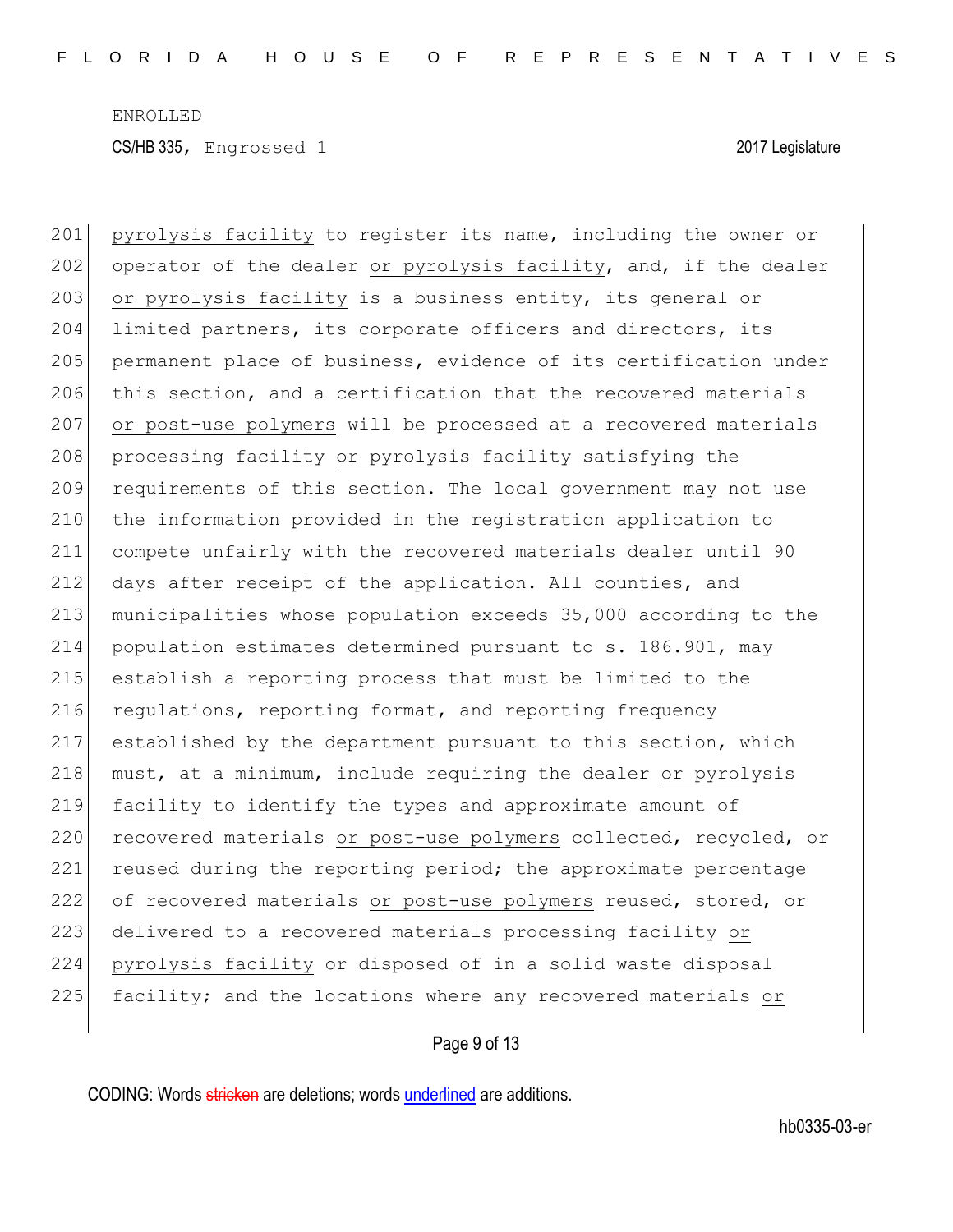201 pyrolysis facility to register its name, including the owner or 202 operator of the dealer or pyrolysis facility, and, if the dealer 203 or pyrolysis facility is a business entity, its general or 204 limited partners, its corporate officers and directors, its 205 permanent place of business, evidence of its certification under 206 this section, and a certification that the recovered materials 207 or post-use polymers will be processed at a recovered materials 208 processing facility or pyrolysis facility satisfying the 209 requirements of this section. The local government may not use 210 the information provided in the registration application to 211 compete unfairly with the recovered materials dealer until 90 212 days after receipt of the application. All counties, and 213 municipalities whose population exceeds 35,000 according to the 214 population estimates determined pursuant to s. 186.901, may 215 establish a reporting process that must be limited to the 216 regulations, reporting format, and reporting frequency 217 established by the department pursuant to this section, which 218 must, at a minimum, include requiring the dealer or pyrolysis 219 facility to identify the types and approximate amount of 220 recovered materials or post-use polymers collected, recycled, or 221 reused during the reporting period; the approximate percentage 222 of recovered materials or post-use polymers reused, stored, or 223 delivered to a recovered materials processing facility or 224 pyrolysis facility or disposed of in a solid waste disposal 225 facility; and the locations where any recovered materials or

Page 9 of 13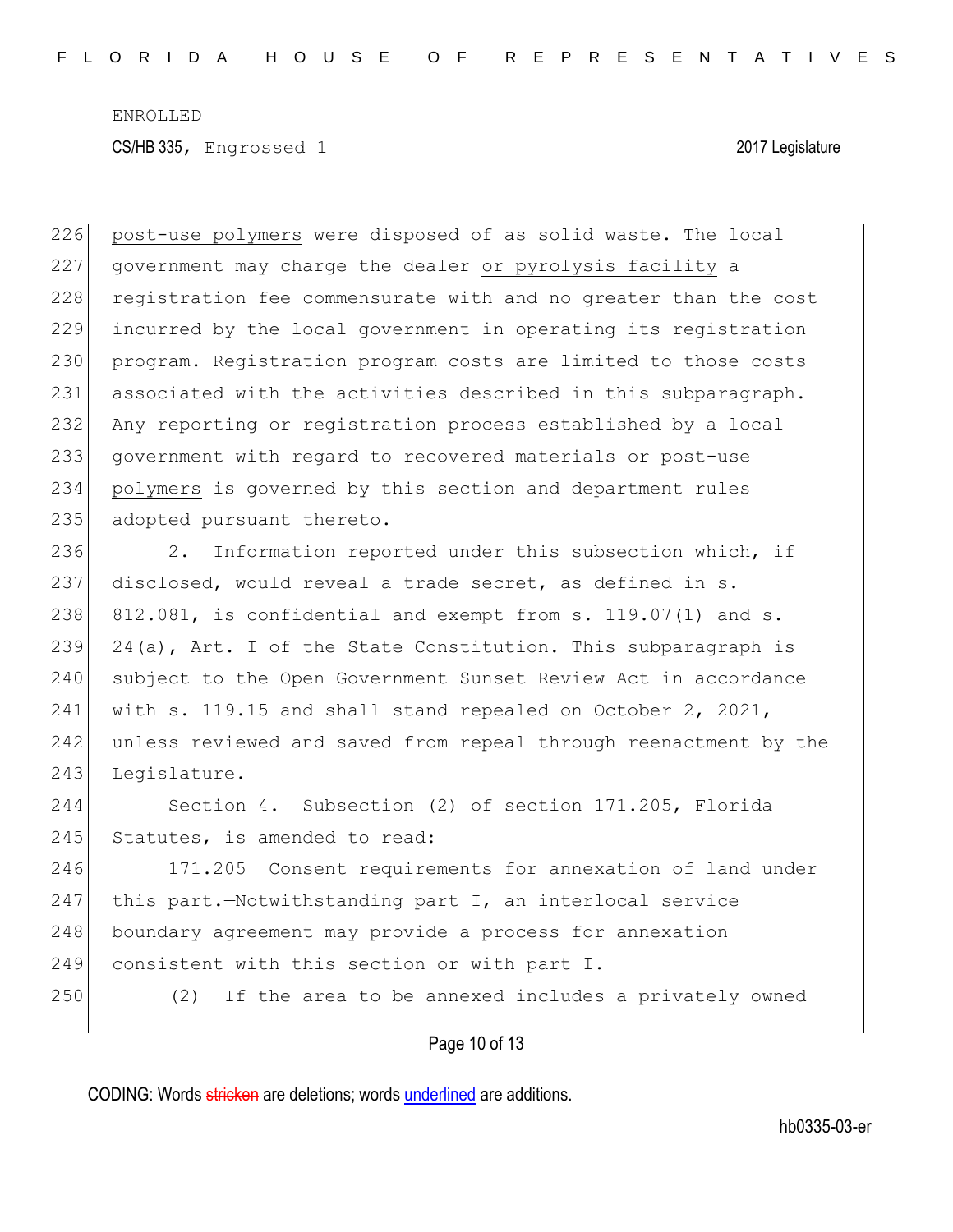226 post-use polymers were disposed of as solid waste. The local 227 government may charge the dealer or pyrolysis facility a 228 registration fee commensurate with and no greater than the cost 229 incurred by the local government in operating its registration 230 program. Registration program costs are limited to those costs 231 associated with the activities described in this subparagraph. 232 Any reporting or registration process established by a local 233 government with regard to recovered materials or post-use 234 polymers is governed by this section and department rules 235 adopted pursuant thereto.

236 2. Information reported under this subsection which, if 237 disclosed, would reveal a trade secret, as defined in s.  $238$  812.081, is confidential and exempt from s. 119.07(1) and s. 239 24(a), Art. I of the State Constitution. This subparagraph is 240 subject to the Open Government Sunset Review Act in accordance 241 with s. 119.15 and shall stand repealed on October 2, 2021, 242 unless reviewed and saved from repeal through reenactment by the 243 Leqislature.

244 Section 4. Subsection (2) of section 171.205, Florida 245 Statutes, is amended to read:

246 171.205 Consent requirements for annexation of land under 247 this part.-Notwithstanding part I, an interlocal service 248 boundary agreement may provide a process for annexation 249 consistent with this section or with part I.

250 (2) If the area to be annexed includes a privately owned

Page 10 of 13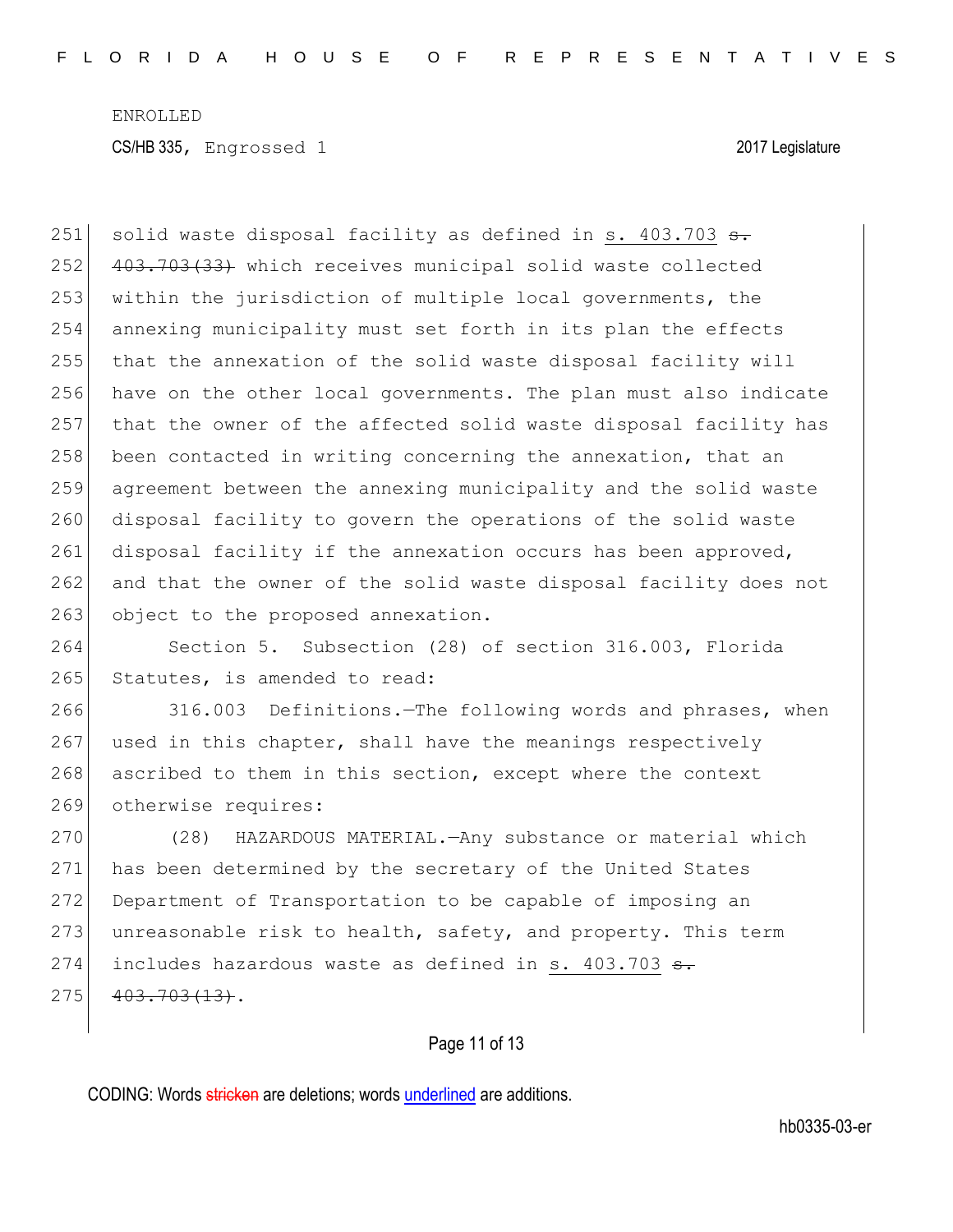251 solid waste disposal facility as defined in s.  $403.703$  s. 252 403.703(33) which receives municipal solid waste collected 253 within the jurisdiction of multiple local governments, the 254 annexing municipality must set forth in its plan the effects 255 that the annexation of the solid waste disposal facility will 256 have on the other local governments. The plan must also indicate 257 that the owner of the affected solid waste disposal facility has 258 been contacted in writing concerning the annexation, that an 259 agreement between the annexing municipality and the solid waste 260 disposal facility to govern the operations of the solid waste 261 disposal facility if the annexation occurs has been approved, 262 and that the owner of the solid waste disposal facility does not 263 object to the proposed annexation.

264 Section 5. Subsection (28) of section 316.003, Florida 265 Statutes, is amended to read:

266 316.003 Definitions.—The following words and phrases, when 267 used in this chapter, shall have the meanings respectively 268 ascribed to them in this section, except where the context 269 otherwise requires:

270 (28) HAZARDOUS MATERIAL.—Any substance or material which 271 has been determined by the secretary of the United States 272 Department of Transportation to be capable of imposing an 273 unreasonable risk to health, safety, and property. This term 274 includes hazardous waste as defined in s. 403.703 <del>s.</del>  $275$  403.703(13).

## Page 11 of 13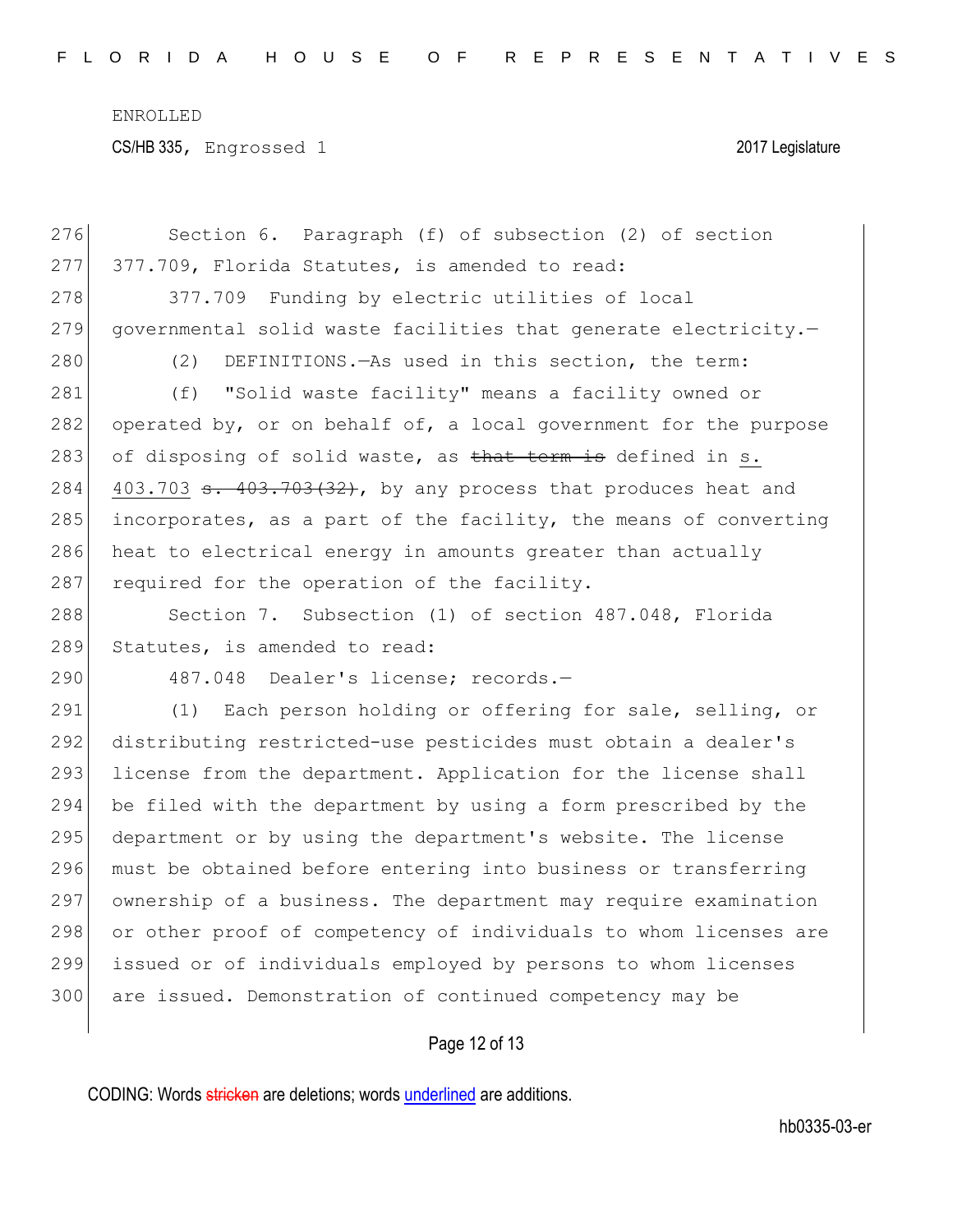| 276 | Section 6. Paragraph (f) of subsection (2) of section            |
|-----|------------------------------------------------------------------|
| 277 | 377.709, Florida Statutes, is amended to read:                   |
| 278 | 377.709 Funding by electric utilities of local                   |
| 279 | governmental solid waste facilities that generate electricity.-  |
| 280 | DEFINITIONS. - As used in this section, the term:<br>(2)         |
| 281 | "Solid waste facility" means a facility owned or<br>(f)          |
| 282 | operated by, or on behalf of, a local government for the purpose |
| 283 | of disposing of solid waste, as that term is defined in s.       |
| 284 | 403.703 s. 403.703(32), by any process that produces heat and    |
| 285 | incorporates, as a part of the facility, the means of converting |
| 286 | heat to electrical energy in amounts greater than actually       |
| 287 | required for the operation of the facility.                      |
| 288 | Section 7. Subsection (1) of section 487.048, Florida            |
| 289 | Statutes, is amended to read:                                    |
| 290 | 487.048 Dealer's license; records.-                              |
| 291 | (1) Each person holding or offering for sale, selling, or        |
| 292 | distributing restricted-use pesticides must obtain a dealer's    |
| 293 | license from the department. Application for the license shall   |
| 294 | be filed with the department by using a form prescribed by the   |
| 295 | department or by using the department's website. The license     |
| 296 | must be obtained before entering into business or transferring   |
| 297 | ownership of a business. The department may require examination  |
| 298 | or other proof of competency of individuals to whom licenses are |
| 299 | issued or of individuals employed by persons to whom licenses    |
| 300 | are issued. Demonstration of continued competency may be         |
|     |                                                                  |

# Page 12 of 13